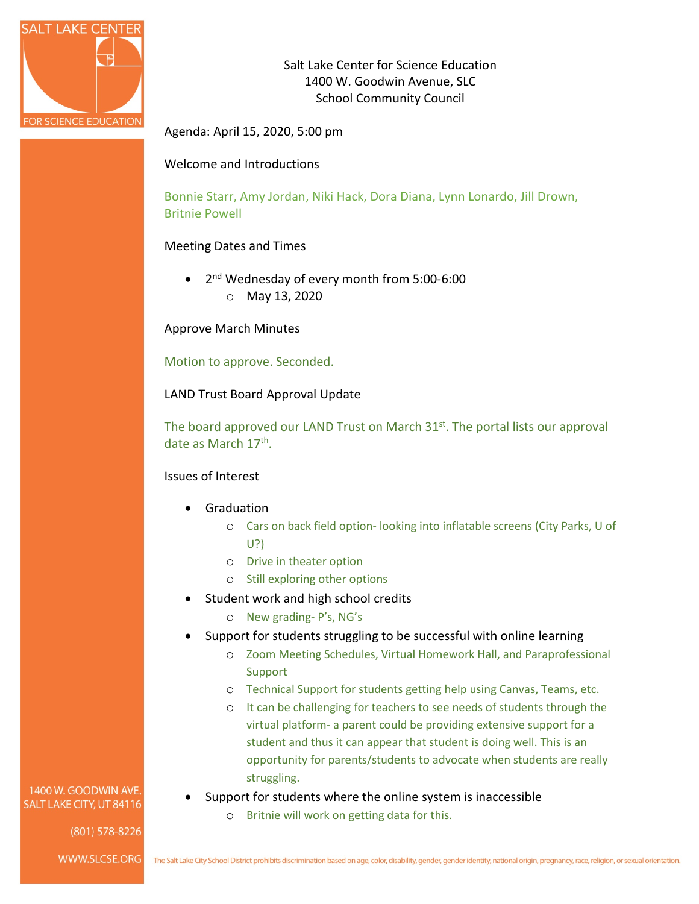

Salt Lake Center for Science Education 1400 W. Goodwin Avenue, SLC School Community Council

Agenda: April 15, 2020, 5:00 pm

## Welcome and Introductions

Bonnie Starr, Amy Jordan, Niki Hack, Dora Diana, Lynn Lonardo, Jill Drown, Britnie Powell

## Meeting Dates and Times

• 2<sup>nd</sup> Wednesday of every month from 5:00-6:00 o May 13, 2020

Approve March Minutes

Motion to approve. Seconded.

LAND Trust Board Approval Update

The board approved our LAND Trust on March  $31<sup>st</sup>$ . The portal lists our approval date as March 17th.

## Issues of Interest

- **Graduation** 
	- o Cars on back field option- looking into inflatable screens (City Parks, U of U?)
	- o Drive in theater option
	- o Still exploring other options
- Student work and high school credits
	- o New grading- P's, NG's
- Support for students struggling to be successful with online learning
	- o Zoom Meeting Schedules, Virtual Homework Hall, and Paraprofessional Support
	- o Technical Support for students getting help using Canvas, Teams, etc.
	- o It can be challenging for teachers to see needs of students through the virtual platform- a parent could be providing extensive support for a student and thus it can appear that student is doing well. This is an opportunity for parents/students to advocate when students are really struggling.
- Support for students where the online system is inaccessible
	- o Britnie will work on getting data for this.

1400 W. GOODWIN AVE. SALT LAKE CITY, UT 84116

(801) 578-8226